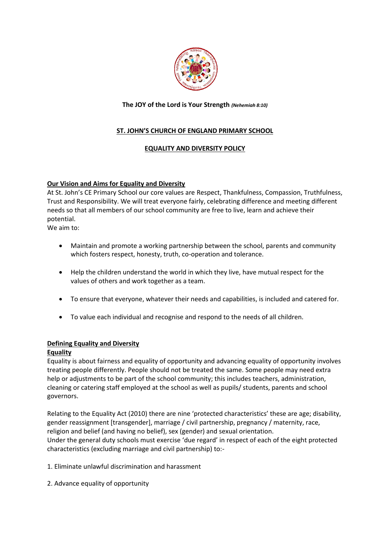

## **The JOY of the Lord is Your Strength** *(Nehemiah 8:10)*

# **ST. JOHN'S CHURCH OF ENGLAND PRIMARY SCHOOL**

## **EQUALITY AND DIVERSITY POLICY**

## **Our Vision and Aims for Equality and Diversity**

At St. John's CE Primary School our core values are Respect, Thankfulness, Compassion, Truthfulness, Trust and Responsibility. We will treat everyone fairly, celebrating difference and meeting different needs so that all members of our school community are free to live, learn and achieve their potential.

We aim to:

- Maintain and promote a working partnership between the school, parents and community which fosters respect, honesty, truth, co-operation and tolerance.
- Help the children understand the world in which they live, have mutual respect for the values of others and work together as a team.
- To ensure that everyone, whatever their needs and capabilities, is included and catered for.
- To value each individual and recognise and respond to the needs of all children.

### **Defining Equality and Diversity**

### **Equality**

Equality is about fairness and equality of opportunity and advancing equality of opportunity involves treating people differently. People should not be treated the same. Some people may need extra help or adjustments to be part of the school community; this includes teachers, administration, cleaning or catering staff employed at the school as well as pupils/ students, parents and school governors.

Relating to the Equality Act (2010) there are nine 'protected characteristics' these are age; disability, gender reassignment [transgender], marriage / civil partnership, pregnancy / maternity, race, religion and belief (and having no belief), sex (gender) and sexual orientation. Under the general duty schools must exercise 'due regard' in respect of each of the eight protected characteristics (excluding marriage and civil partnership) to:-

1. Eliminate unlawful discrimination and harassment

2. Advance equality of opportunity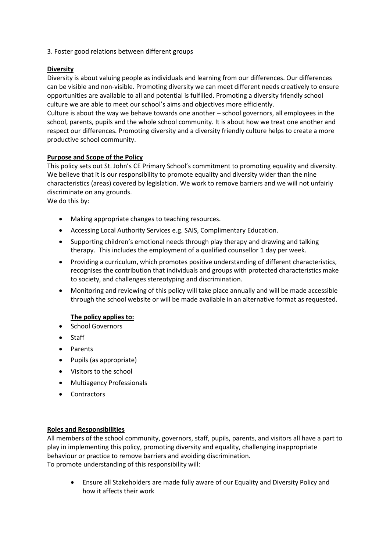3. Foster good relations between different groups

## **Diversity**

Diversity is about valuing people as individuals and learning from our differences. Our differences can be visible and non-visible. Promoting diversity we can meet different needs creatively to ensure opportunities are available to all and potential is fulfilled. Promoting a diversity friendly school culture we are able to meet our school's aims and objectives more efficiently.

Culture is about the way we behave towards one another – school governors, all employees in the school, parents, pupils and the whole school community. It is about how we treat one another and respect our differences. Promoting diversity and a diversity friendly culture helps to create a more productive school community.

## **Purpose and Scope of the Policy**

This policy sets out St. John's CE Primary School's commitment to promoting equality and diversity. We believe that it is our responsibility to promote equality and diversity wider than the nine characteristics (areas) covered by legislation. We work to remove barriers and we will not unfairly discriminate on any grounds.

We do this by:

- Making appropriate changes to teaching resources.
- Accessing Local Authority Services e.g. SAIS, Complimentary Education.
- Supporting children's emotional needs through play therapy and drawing and talking therapy. This includes the employment of a qualified counsellor 1 day per week.
- Providing a curriculum, which promotes positive understanding of different characteristics, recognises the contribution that individuals and groups with protected characteristics make to society, and challenges stereotyping and discrimination.
- Monitoring and reviewing of this policy will take place annually and will be made accessible through the school website or will be made available in an alternative format as requested.

### **The policy applies to:**

- **•** School Governors
- Staff
- Parents
- Pupils (as appropriate)
- Visitors to the school
- Multiagency Professionals
- Contractors

### **Roles and Responsibilities**

All members of the school community, governors, staff, pupils, parents, and visitors all have a part to play in implementing this policy, promoting diversity and equality, challenging inappropriate behaviour or practice to remove barriers and avoiding discrimination. To promote understanding of this responsibility will:

 Ensure all Stakeholders are made fully aware of our Equality and Diversity Policy and how it affects their work